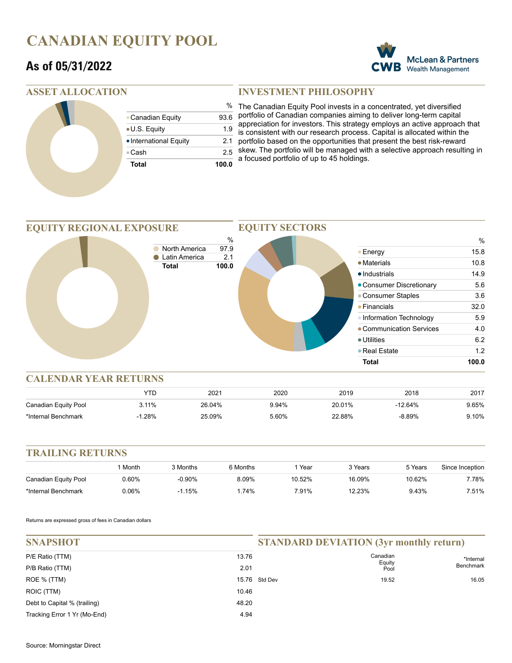# **CANADIAN EQUITY POOL**

## **As of 05/31/2022**



### **ASSET ALLOCATION**

| <b>Total</b>           | 100.0 |
|------------------------|-------|
| ●Cash                  | 2.5   |
| • International Equity | 2.1   |
| • U.S. Equity          | 1.9   |
| • Canadian Equity      | 93.6  |
|                        | %     |

### **INVESTMENT PHILOSOPHY**

The Canadian Equity Pool invests in a concentrated, yet diversified portfolio of Canadian companies aiming to deliver long-term capital appreciation for investors. This strategy employs an active approach that is consistent with our research process. Capital is allocated within the portfolio based on the opportunities that present the best risk-reward skew. The portfolio will be managed with a selective approach resulting in a focused portfolio of up to 45 holdings.



|                      | YTD         | $202^{\circ}$ | 2020  | 2019   | 2018      | 2017  |
|----------------------|-------------|---------------|-------|--------|-----------|-------|
| Canadian Equity Pool | 3.11%       | 26.04%        | 9.94% | 20.01% | $-12.64%$ | 9.65% |
| *Internal Benchmark  | .28%<br>- 1 | 25.09%        | 5.60% | 22.88% | $-8.89%$  | 9.10% |

#### **TRAILING RETURNS** 1 Month 3 Months 6 Months 1 Year 3 Years 5 Years Since Inception Canadian Equity Pool \*Internal Benchmark  $0.60\%$   $-0.90\%$   $8.09\%$   $10.52\%$   $16.09\%$   $10.62\%$   $7.78\%$ 0.06% -1.15% 1.74% 7.91% 12.23% 9.43% 7.51%

Returns are expressed gross of fees in Canadian dollars

| <b>SNAPSHOT</b>              |       | <b>STANDARD DEVIATION (3yr monthly return)</b> |                    |                        |
|------------------------------|-------|------------------------------------------------|--------------------|------------------------|
| P/E Ratio (TTM)              | 13.76 |                                                | Canadian<br>Equity | *Internal<br>Benchmark |
| P/B Ratio (TTM)              | 2.01  |                                                | Pool               |                        |
| ROE % (TTM)                  |       | 15.76 Std Dev                                  | 19.52              | 16.05                  |
| ROIC (TTM)                   | 10.46 |                                                |                    |                        |
| Debt to Capital % (trailing) | 48.20 |                                                |                    |                        |
| Tracking Error 1 Yr (Mo-End) | 4.94  |                                                |                    |                        |